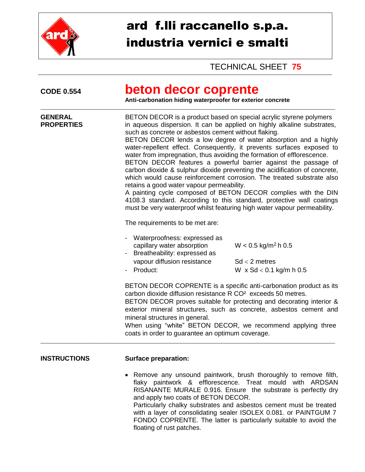

# ard f.lli raccanello s.p.a. industria vernici e smalti

# TECHNICAL SHEET **75**

| beton decor coprente<br>Anti-carbonation hiding waterproofer for exterior concrete                                                                                                                                                                                                                                                                                                                                                                                                                                                                                                                                                                                                                                                                                                                                                                                                                                       |                                                                                        |  |
|--------------------------------------------------------------------------------------------------------------------------------------------------------------------------------------------------------------------------------------------------------------------------------------------------------------------------------------------------------------------------------------------------------------------------------------------------------------------------------------------------------------------------------------------------------------------------------------------------------------------------------------------------------------------------------------------------------------------------------------------------------------------------------------------------------------------------------------------------------------------------------------------------------------------------|----------------------------------------------------------------------------------------|--|
| BETON DECOR is a product based on special acrylic styrene polymers<br>in aqueous dispersion. It can be applied on highly alkaline substrates,<br>such as concrete or asbestos cement without flaking.<br>BETON DECOR lends a low degree of water absorption and a highly<br>water-repellent effect. Consequently, it prevents surfaces exposed to<br>water from impregnation, thus avoiding the formation of efflorescence.<br>BETON DECOR features a powerful barrier against the passage of<br>carbon dioxide & sulphur dioxide preventing the acidification of concrete,<br>which would cause reinforcement corrosion. The treated substrate also<br>retains a good water vapour permeability.<br>A painting cycle composed of BETON DECOR complies with the DIN<br>4108.3 standard. According to this standard, protective wall coatings<br>must be very waterproof whilst featuring high water vapour permeability. |                                                                                        |  |
| The requirements to be met are:                                                                                                                                                                                                                                                                                                                                                                                                                                                                                                                                                                                                                                                                                                                                                                                                                                                                                          |                                                                                        |  |
| - Waterproofness: expressed as<br>capillary water absorption<br>Breatheability: expressed as<br>vapour diffusion resistance<br>Product:                                                                                                                                                                                                                                                                                                                                                                                                                                                                                                                                                                                                                                                                                                                                                                                  | $W < 0.5$ kg/m <sup>2</sup> h 0.5<br>$Sd < 2$ metres<br>W $\times$ Sd < 0.1 kg/m h 0.5 |  |
| BETON DECOR COPRENTE is a specific anti-carbonation product as its<br>carbon dioxide diffusion resistance R CO <sup>2</sup> exceeds 50 metres.<br>BETON DECOR proves suitable for protecting and decorating interior &<br>exterior mineral structures, such as concrete, asbestos cement and<br>mineral structures in general.<br>When using "white" BETON DECOR, we recommend applying three<br>coats in order to guarantee an optimum coverage.                                                                                                                                                                                                                                                                                                                                                                                                                                                                        |                                                                                        |  |
|                                                                                                                                                                                                                                                                                                                                                                                                                                                                                                                                                                                                                                                                                                                                                                                                                                                                                                                          |                                                                                        |  |

#### **INSTRUCTIONS Surface preparation:**

• Remove any unsound paintwork, brush thoroughly to remove filth, flaky paintwork & efflorescence. Treat mould with ARDSAN RISANANTE MURALE 0.916. Ensure the substrate is perfectly dry and apply two coats of BETON DECOR. Particularly chalky substrates and asbestos cement must be treated with a layer of consolidating sealer ISOLEX 0.081. or PAINTGUM 7 FONDO COPRENTE. The latter is particularly suitable to avoid the floating of rust patches.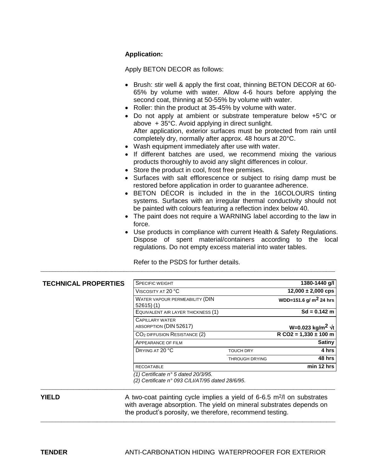#### **Application:**

Apply BETON DECOR as follows:

- Brush: stir well & apply the first coat, thinning BETON DECOR at 60-65% by volume with water. Allow 4-6 hours before applying the second coat, thinning at 50-55% by volume with water.
- Roller: thin the product at 35-45% by volume with water.
- Do not apply at ambient or substrate temperature below +5°C or above + 35°C. Avoid applying in direct sunlight. After application, exterior surfaces must be protected from rain until completely dry, normally after approx. 48 hours at 20°C.
- Wash equipment immediately after use with water.
- If different batches are used, we recommend mixing the various products thoroughly to avoid any slight differences in colour.
- Store the product in cool, frost free premises.
- Surfaces with salt efflorescence or subject to rising damp must be restored before application in order to guarantee adherence.
- BETON DÉCOR is included in the in the 16COLOURS tinting systems. Surfaces with an irregular thermal conductivity should not be painted with colours featuring a reflection index below 40.
- The paint does not require a WARNING label according to the law in force.
- Use products in compliance with current Health & Safety Regulations. Dispose of spent material/containers according to the local regulations. Do not empty excess material into water tables.

Refer to the PSDS for further details. \_\_\_\_\_\_\_\_\_\_\_\_\_\_\_\_\_\_\_\_\_\_\_\_\_\_\_\_\_\_\_\_\_\_\_\_\_\_\_\_\_\_\_\_\_\_\_\_\_\_\_\_\_\_\_\_\_\_\_\_\_\_\_\_\_\_\_\_\_\_\_\_\_\_\_\_\_\_\_\_\_\_\_\_\_\_\_\_\_\_\_\_\_\_\_\_\_\_\_

| <b>TECHNICAL PROPERTIES</b> | <b>SPECIFIC WEIGHT</b>                                                                  |                       | 1380-1440 g/l                |
|-----------------------------|-----------------------------------------------------------------------------------------|-----------------------|------------------------------|
|                             | VISCOSITY AT 20 °C                                                                      |                       | $12,000 \pm 2,000$ cps       |
|                             | WATER VAPOUR PERMEABILITY (DIN<br>52615(1)                                              |                       | WDD=151.6 g/ $m^2$ 24 hrs    |
|                             | EQUIVALENT AIR LAYER THICKNESS (1)                                                      |                       | $Sd = 0.142$ m               |
|                             | <b>CAPILLARY WATER</b><br>ABSORPTION (DIN 52617)                                        |                       | W=0.023 kg/m <sup>2</sup> √t |
|                             | CO <sub>2</sub> DIFFUSION RESISTANCE (2)                                                |                       | $R CO2 = 1,330 \pm 100$ m    |
|                             | APPEARANCE OF FILM                                                                      |                       | <b>Satiny</b>                |
|                             | DRYING AT 20 °C                                                                         | <b>TOUCH DRY</b>      | 4 hrs                        |
|                             |                                                                                         | <b>THROUGH DRYING</b> | 48 hrs                       |
|                             | <b>RECOATABLE</b>                                                                       |                       | min 12 hrs                   |
|                             | (1) Certificate n° 5 dated 20/3/95.<br>(2) Certificate n° 093 C/LI/AT/95 dated 28/6/95. |                       |                              |

\_\_\_\_\_\_\_\_\_\_\_\_\_\_\_\_\_\_\_\_\_\_\_\_\_\_\_\_\_\_\_\_\_\_\_\_\_\_\_\_\_\_\_\_\_\_\_\_\_\_\_\_\_\_\_\_\_\_\_\_\_\_\_\_\_\_\_\_\_\_\_\_\_\_\_\_\_\_\_\_\_\_\_\_\_\_\_\_\_\_\_\_\_\_\_\_\_\_\_

\_\_\_\_\_\_\_\_\_\_\_\_\_\_\_\_\_\_\_\_\_\_\_\_\_\_\_\_\_\_\_\_\_\_\_\_\_\_\_\_\_\_\_\_\_\_\_\_\_\_\_\_\_\_\_\_\_\_\_\_\_\_\_\_\_\_\_\_\_\_\_\_\_\_\_\_\_\_\_\_\_\_\_\_\_\_\_\_\_\_\_\_\_\_\_\_\_\_\_

**YIELD** A two-coat painting cycle implies a yield of 6-6.5 m<sup>2</sup>/l on substrates with average absorption. The yield on mineral substrates depends on the product's porosity, we therefore, recommend testing.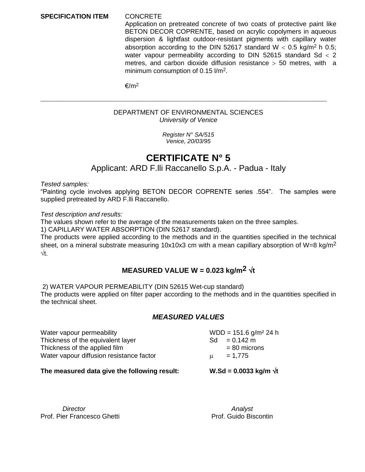#### **SPECIFICATION ITEM** CONCRETE

Application on pretreated concrete of two coats of protective paint like BETON DECOR COPRENTE, based on acrylic copolymers in aqueous dispersion & lightfast outdoor-resistant pigments with capillary water absorption according to the DIN 52617 standard  $W < 0.5$  kg/m<sup>2</sup> h 0.5; water vapour permeability according to DIN 52615 standard  $Sd < 2$ metres, and carbon dioxide diffusion resistance  $>$  50 metres, with a minimum consumption of 0.15 l/m2.

 $€/m<sup>2</sup>$ 

#### DEPARTMENT OF ENVIRONMENTAL SCIENCES *University of Venice*

\_\_\_\_\_\_\_\_\_\_\_\_\_\_\_\_\_\_\_\_\_\_\_\_\_\_\_\_\_\_\_\_\_\_\_\_\_\_\_\_\_\_\_\_\_\_\_\_\_\_\_\_\_\_\_\_\_\_\_\_\_\_\_\_\_\_\_\_\_\_\_\_\_\_\_\_\_\_\_\_\_\_\_\_\_\_\_\_\_\_\_\_\_\_\_\_\_\_\_\_\_\_\_\_\_\_\_\_

*Register N° SA/515 Venice, 20/03/95*

## **CERTIFICATE N° 5**

Applicant: ARD F.lli Raccanello S.p.A. - Padua - Italy

*Tested samples:*

"Painting cycle involves applying BETON DECOR COPRENTE series .554". The samples were supplied pretreated by ARD F.lli Raccanello.

*Test description and results:*

The values shown refer to the average of the measurements taken on the three samples.

1) CAPILLARY WATER ABSORPTION (DIN 52617 standard).

The products were applied according to the methods and in the quantities specified in the technical sheet, on a mineral substrate measuring 10x10x3 cm with a mean capillary absorption of W=8 kg/m<sup>2</sup>  $\sqrt{t}$ .

#### **MEASURED VALUE W = 0.023 kg/m<sup>2</sup>**  $\sqrt{t}$

2) WATER VAPOUR PERMEABILITY (DIN 52615 Wet-cup standard)

The products were applied on filter paper according to the methods and in the quantities specified in the technical sheet.

#### *MEASURED VALUES*

| Water vapour permeability                |     | $WDD = 151.6$ g/m <sup>2</sup> 24 h |
|------------------------------------------|-----|-------------------------------------|
| Thickness of the equivalent layer        | Sd. | $= 0.142$ m                         |
| Thickness of the applied film            |     | $= 80$ microns                      |
| Water vapour diffusion resistance factor | п.  | $= 1.775$                           |
|                                          |     |                                     |

The measured data give the following result:  $W.Sd = 0.0033$  kg/m  $\sqrt{t}$ 

*Director* **Analysis** Prof. Pier Francesco Ghetti **Prof. Guido Biscontin**